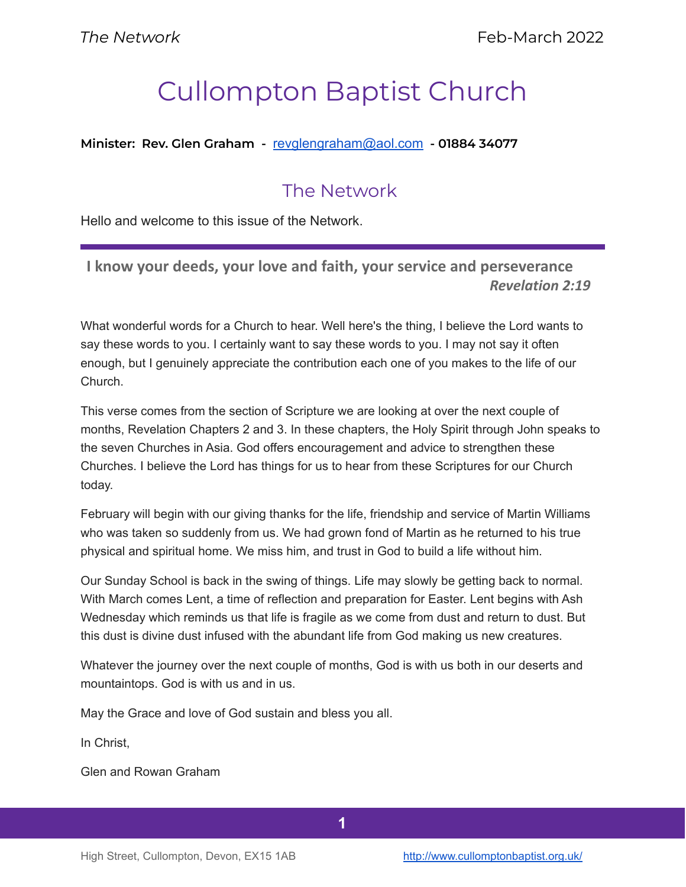## Cullompton Baptist Church

**Minister: Rev. Glen Graham -** [revglengraham@aol.com](mailto:revglengraham@aol.com) **- 01884 34077**

## The Network

Hello and welcome to this issue of the Network.

**I know your deeds, your love and faith, your service and perseverance** *Revelation 2:19*

What wonderful words for a Church to hear. Well here's the thing, I believe the Lord wants to say these words to you. I certainly want to say these words to you. I may not say it often enough, but I genuinely appreciate the contribution each one of you makes to the life of our Church.

This verse comes from the section of Scripture we are looking at over the next couple of months, Revelation Chapters 2 and 3. In these chapters, the Holy Spirit through John speaks to the seven Churches in Asia. God offers encouragement and advice to strengthen these Churches. I believe the Lord has things for us to hear from these Scriptures for our Church today.

February will begin with our giving thanks for the life, friendship and service of Martin Williams who was taken so suddenly from us. We had grown fond of Martin as he returned to his true physical and spiritual home. We miss him, and trust in God to build a life without him.

Our Sunday School is back in the swing of things. Life may slowly be getting back to normal. With March comes Lent, a time of reflection and preparation for Easter. Lent begins with Ash Wednesday which reminds us that life is fragile as we come from dust and return to dust. But this dust is divine dust infused with the abundant life from God making us new creatures.

Whatever the journey over the next couple of months, God is with us both in our deserts and mountaintops. God is with us and in us.

May the Grace and love of God sustain and bless you all.

In Christ

Glen and Rowan Graham